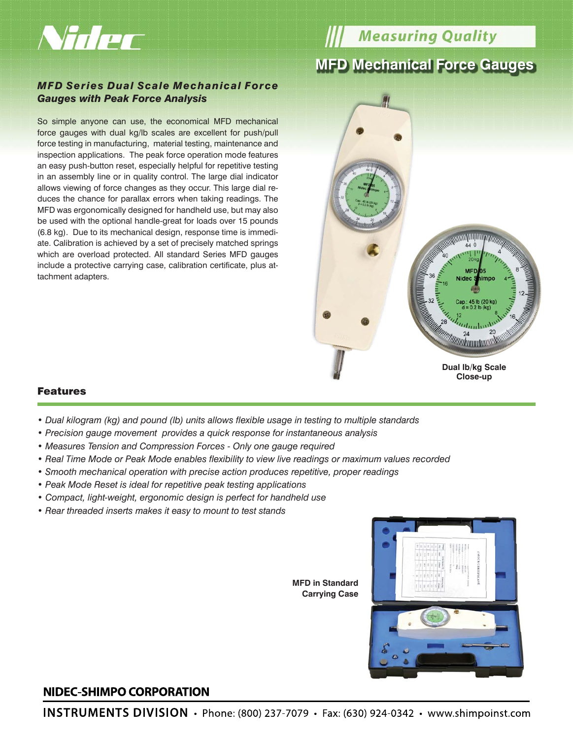

**Weasuring Quality** 

# **MFD Mechanical Force Gauges**

### *MFD Series Dual Scale Mechanical Force Gauges with Peak Force Analysis*

So simple anyone can use, the economical MFD mechanical force gauges with dual kg/lb scales are excellent for push/pull force testing in manufacturing, material testing, maintenance and inspection applications. The peak force operation mode features an easy push-button reset, especially helpful for repetitive testing in an assembly line or in quality control. The large dial indicator allows viewing of force changes as they occur. This large dial reduces the chance for parallax errors when taking readings. The MFD was ergonomically designed for handheld use, but may also be used with the optional handle-great for loads over 15 pounds (6.8 kg). Due to its mechanical design, response time is immediate. Calibration is achieved by a set of precisely matched springs which are overload protected. All standard Series MFD gauges include a protective carrying case, calibration certificate, plus attachment adapters.



#### Features

- • *Dual kilogram (kg) and pound (lb) units allows flexible usage in testing to multiple standards*
- *Precision gauge movement provides a quick response for instantaneous analysis*
- *Measures Tension and Compression Forces Only one gauge required*
- *Real Time Mode or Peak Mode enables flexibility to view live readings or maximum values recorded*
- *Smooth mechanical operation with precise action produces repetitive, proper readings*
- *Peak Mode Reset is ideal for repetitive peak testing applications*
- *Compact, light-weight, ergonomic design is perfect for handheld use*
- *Rear threaded inserts makes it easy to mount to test stands*

**MFD in Standard Carrying Case**



## NIDEC-SHIMPO CORPORATION